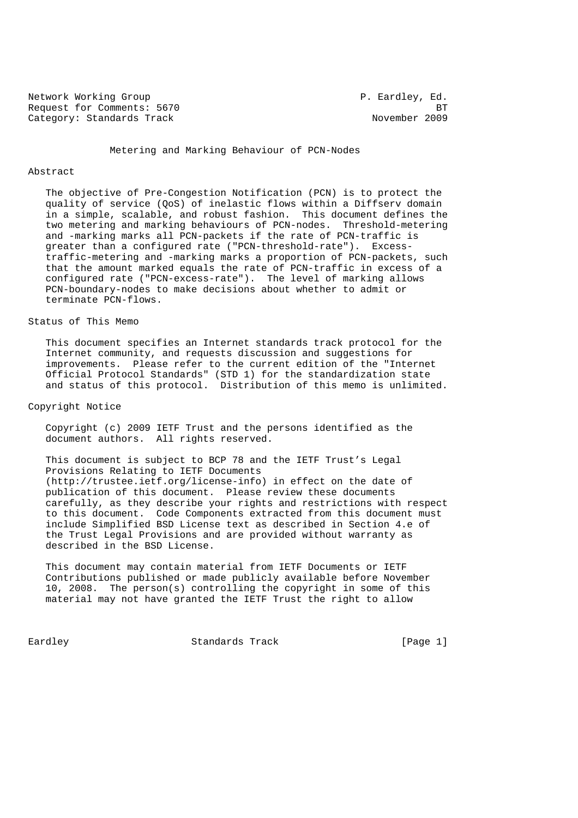Network Working Group **P. Eardley, Ed.** Request for Comments: 5670 BT Category: Standards Track November 2009

Metering and Marking Behaviour of PCN-Nodes

### Abstract

 The objective of Pre-Congestion Notification (PCN) is to protect the quality of service (QoS) of inelastic flows within a Diffserv domain in a simple, scalable, and robust fashion. This document defines the two metering and marking behaviours of PCN-nodes. Threshold-metering and -marking marks all PCN-packets if the rate of PCN-traffic is greater than a configured rate ("PCN-threshold-rate"). Excess traffic-metering and -marking marks a proportion of PCN-packets, such that the amount marked equals the rate of PCN-traffic in excess of a configured rate ("PCN-excess-rate"). The level of marking allows PCN-boundary-nodes to make decisions about whether to admit or terminate PCN-flows.

## Status of This Memo

 This document specifies an Internet standards track protocol for the Internet community, and requests discussion and suggestions for improvements. Please refer to the current edition of the "Internet Official Protocol Standards" (STD 1) for the standardization state and status of this protocol. Distribution of this memo is unlimited.

## Copyright Notice

 Copyright (c) 2009 IETF Trust and the persons identified as the document authors. All rights reserved.

 This document is subject to BCP 78 and the IETF Trust's Legal Provisions Relating to IETF Documents (http://trustee.ietf.org/license-info) in effect on the date of publication of this document. Please review these documents carefully, as they describe your rights and restrictions with respect to this document. Code Components extracted from this document must include Simplified BSD License text as described in Section 4.e of the Trust Legal Provisions and are provided without warranty as described in the BSD License.

 This document may contain material from IETF Documents or IETF Contributions published or made publicly available before November 10, 2008. The person(s) controlling the copyright in some of this material may not have granted the IETF Trust the right to allow

Eardley Standards Track [Page 1]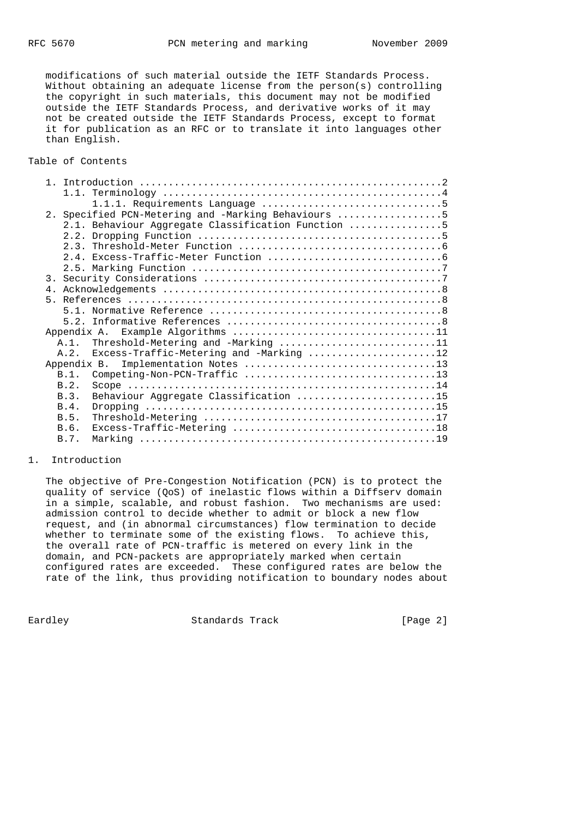modifications of such material outside the IETF Standards Process. Without obtaining an adequate license from the person(s) controlling the copyright in such materials, this document may not be modified outside the IETF Standards Process, and derivative works of it may not be created outside the IETF Standards Process, except to format it for publication as an RFC or to translate it into languages other than English.

Table of Contents

| 2. Specified PCN-Metering and -Marking Behaviours 5 |  |
|-----------------------------------------------------|--|
| 2.1. Behaviour Aggregate Classification Function 5  |  |
|                                                     |  |
|                                                     |  |
|                                                     |  |
|                                                     |  |
|                                                     |  |
|                                                     |  |
|                                                     |  |
|                                                     |  |
|                                                     |  |
|                                                     |  |
| A.1. Threshold-Metering and -Marking 11             |  |
| A.2. Excess-Traffic-Metering and -Marking 12        |  |
| Implementation Notes 13<br>Appendix B.              |  |
| $B.1$ .                                             |  |
| B.2.                                                |  |
|                                                     |  |
| Behaviour Aggregate Classification 15<br>B.3.       |  |
| B.4.                                                |  |
| B.5.                                                |  |
| B.6.                                                |  |
| B.7.                                                |  |

## 1. Introduction

 The objective of Pre-Congestion Notification (PCN) is to protect the quality of service (QoS) of inelastic flows within a Diffserv domain in a simple, scalable, and robust fashion. Two mechanisms are used: admission control to decide whether to admit or block a new flow request, and (in abnormal circumstances) flow termination to decide whether to terminate some of the existing flows. To achieve this, the overall rate of PCN-traffic is metered on every link in the domain, and PCN-packets are appropriately marked when certain configured rates are exceeded. These configured rates are below the rate of the link, thus providing notification to boundary nodes about

Eardley **Standards Track** [Page 2]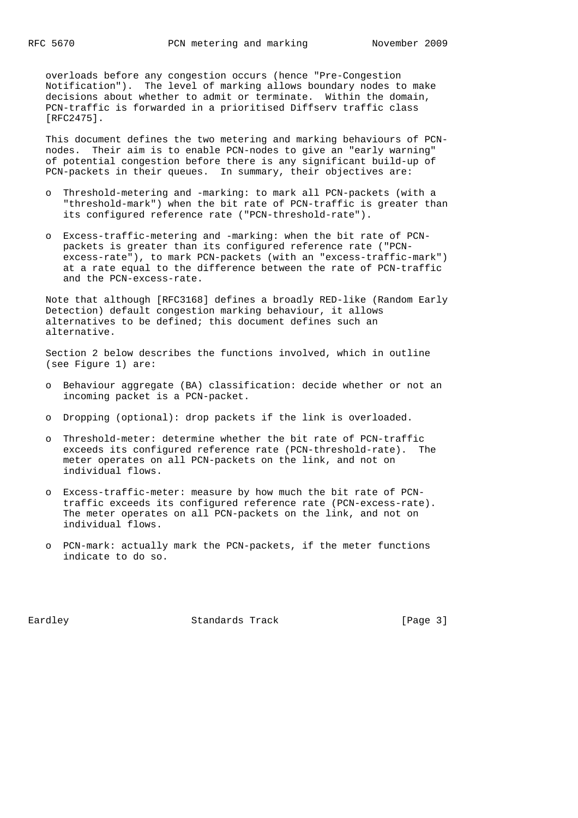overloads before any congestion occurs (hence "Pre-Congestion Notification"). The level of marking allows boundary nodes to make decisions about whether to admit or terminate. Within the domain, PCN-traffic is forwarded in a prioritised Diffserv traffic class [RFC2475].

 This document defines the two metering and marking behaviours of PCN nodes. Their aim is to enable PCN-nodes to give an "early warning" of potential congestion before there is any significant build-up of PCN-packets in their queues. In summary, their objectives are:

- o Threshold-metering and -marking: to mark all PCN-packets (with a "threshold-mark") when the bit rate of PCN-traffic is greater than its configured reference rate ("PCN-threshold-rate").
- o Excess-traffic-metering and -marking: when the bit rate of PCN packets is greater than its configured reference rate ("PCN excess-rate"), to mark PCN-packets (with an "excess-traffic-mark") at a rate equal to the difference between the rate of PCN-traffic and the PCN-excess-rate.

 Note that although [RFC3168] defines a broadly RED-like (Random Early Detection) default congestion marking behaviour, it allows alternatives to be defined; this document defines such an alternative.

 Section 2 below describes the functions involved, which in outline (see Figure 1) are:

- o Behaviour aggregate (BA) classification: decide whether or not an incoming packet is a PCN-packet.
- o Dropping (optional): drop packets if the link is overloaded.
- o Threshold-meter: determine whether the bit rate of PCN-traffic exceeds its configured reference rate (PCN-threshold-rate). The meter operates on all PCN-packets on the link, and not on individual flows.
- o Excess-traffic-meter: measure by how much the bit rate of PCN traffic exceeds its configured reference rate (PCN-excess-rate). The meter operates on all PCN-packets on the link, and not on individual flows.
- o PCN-mark: actually mark the PCN-packets, if the meter functions indicate to do so.

Eardley **Standards Track** [Page 3]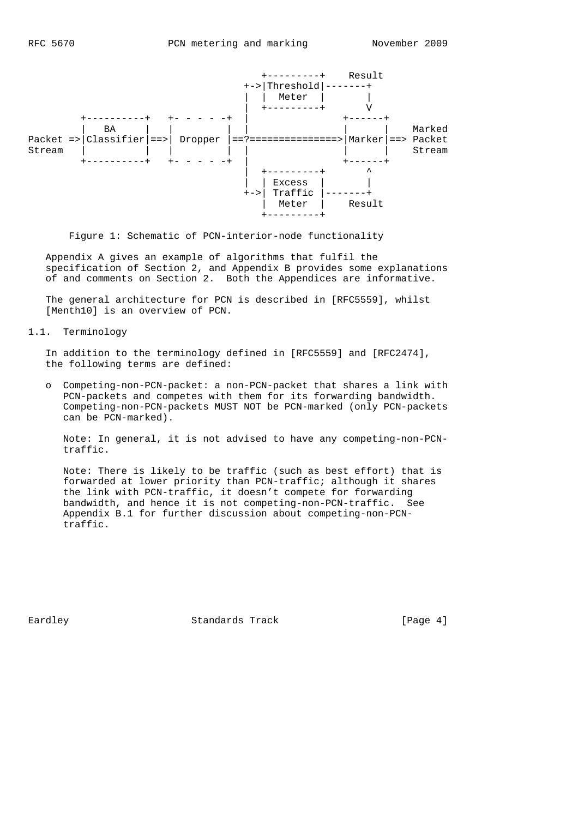

Figure 1: Schematic of PCN-interior-node functionality

 Appendix A gives an example of algorithms that fulfil the specification of Section 2, and Appendix B provides some explanations of and comments on Section 2. Both the Appendices are informative.

 The general architecture for PCN is described in [RFC5559], whilst [Menth10] is an overview of PCN.

1.1. Terminology

 In addition to the terminology defined in [RFC5559] and [RFC2474], the following terms are defined:

 o Competing-non-PCN-packet: a non-PCN-packet that shares a link with PCN-packets and competes with them for its forwarding bandwidth. Competing-non-PCN-packets MUST NOT be PCN-marked (only PCN-packets can be PCN-marked).

 Note: In general, it is not advised to have any competing-non-PCN traffic.

 Note: There is likely to be traffic (such as best effort) that is forwarded at lower priority than PCN-traffic; although it shares the link with PCN-traffic, it doesn't compete for forwarding bandwidth, and hence it is not competing-non-PCN-traffic. See Appendix B.1 for further discussion about competing-non-PCN traffic.

Eardley **Standards Track** [Page 4]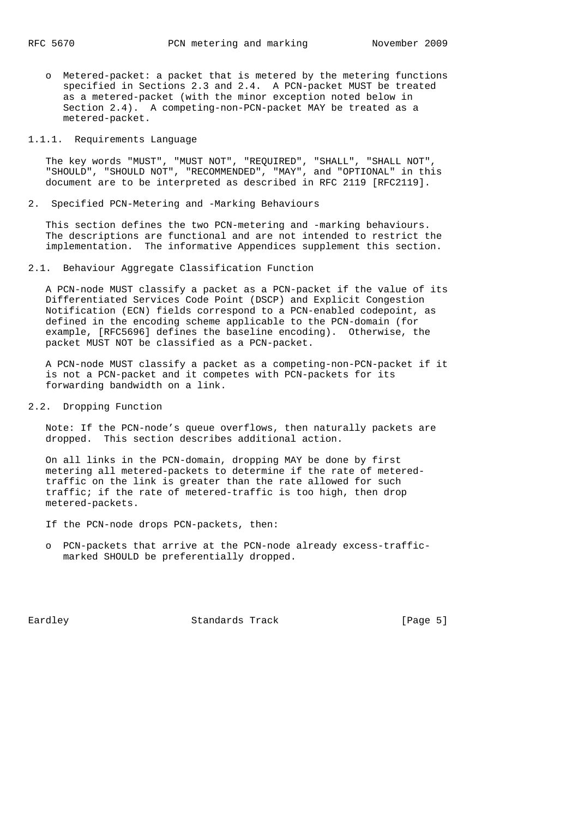o Metered-packet: a packet that is metered by the metering functions specified in Sections 2.3 and 2.4. A PCN-packet MUST be treated as a metered-packet (with the minor exception noted below in Section 2.4). A competing-non-PCN-packet MAY be treated as a metered-packet.

### 1.1.1. Requirements Language

 The key words "MUST", "MUST NOT", "REQUIRED", "SHALL", "SHALL NOT", "SHOULD", "SHOULD NOT", "RECOMMENDED", "MAY", and "OPTIONAL" in this document are to be interpreted as described in RFC 2119 [RFC2119].

### 2. Specified PCN-Metering and -Marking Behaviours

 This section defines the two PCN-metering and -marking behaviours. The descriptions are functional and are not intended to restrict the implementation. The informative Appendices supplement this section.

## 2.1. Behaviour Aggregate Classification Function

 A PCN-node MUST classify a packet as a PCN-packet if the value of its Differentiated Services Code Point (DSCP) and Explicit Congestion Notification (ECN) fields correspond to a PCN-enabled codepoint, as defined in the encoding scheme applicable to the PCN-domain (for example, [RFC5696] defines the baseline encoding). Otherwise, the packet MUST NOT be classified as a PCN-packet.

 A PCN-node MUST classify a packet as a competing-non-PCN-packet if it is not a PCN-packet and it competes with PCN-packets for its forwarding bandwidth on a link.

## 2.2. Dropping Function

 Note: If the PCN-node's queue overflows, then naturally packets are dropped. This section describes additional action.

 On all links in the PCN-domain, dropping MAY be done by first metering all metered-packets to determine if the rate of metered traffic on the link is greater than the rate allowed for such traffic; if the rate of metered-traffic is too high, then drop metered-packets.

If the PCN-node drops PCN-packets, then:

 o PCN-packets that arrive at the PCN-node already excess-traffic marked SHOULD be preferentially dropped.

Eardley **Standards Track** [Page 5]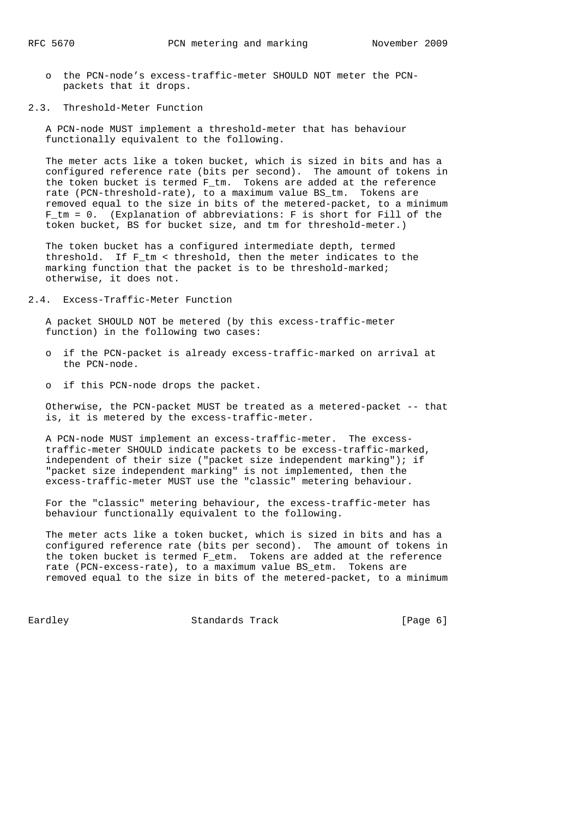- o the PCN-node's excess-traffic-meter SHOULD NOT meter the PCN packets that it drops.
- 2.3. Threshold-Meter Function

 A PCN-node MUST implement a threshold-meter that has behaviour functionally equivalent to the following.

 The meter acts like a token bucket, which is sized in bits and has a configured reference rate (bits per second). The amount of tokens in the token bucket is termed F\_tm. Tokens are added at the reference rate (PCN-threshold-rate), to a maximum value BS tm. Tokens are removed equal to the size in bits of the metered-packet, to a minimum F\_tm = 0. (Explanation of abbreviations: F is short for Fill of the token bucket, BS for bucket size, and tm for threshold-meter.)

 The token bucket has a configured intermediate depth, termed threshold. If F\_tm < threshold, then the meter indicates to the marking function that the packet is to be threshold-marked; otherwise, it does not.

2.4. Excess-Traffic-Meter Function

 A packet SHOULD NOT be metered (by this excess-traffic-meter function) in the following two cases:

- o if the PCN-packet is already excess-traffic-marked on arrival at the PCN-node.
- o if this PCN-node drops the packet.

 Otherwise, the PCN-packet MUST be treated as a metered-packet -- that is, it is metered by the excess-traffic-meter.

 A PCN-node MUST implement an excess-traffic-meter. The excess traffic-meter SHOULD indicate packets to be excess-traffic-marked, independent of their size ("packet size independent marking"); if "packet size independent marking" is not implemented, then the excess-traffic-meter MUST use the "classic" metering behaviour.

 For the "classic" metering behaviour, the excess-traffic-meter has behaviour functionally equivalent to the following.

 The meter acts like a token bucket, which is sized in bits and has a configured reference rate (bits per second). The amount of tokens in the token bucket is termed F\_etm. Tokens are added at the reference rate (PCN-excess-rate), to a maximum value BS\_etm. Tokens are removed equal to the size in bits of the metered-packet, to a minimum

Eardley **Standards Track** [Page 6]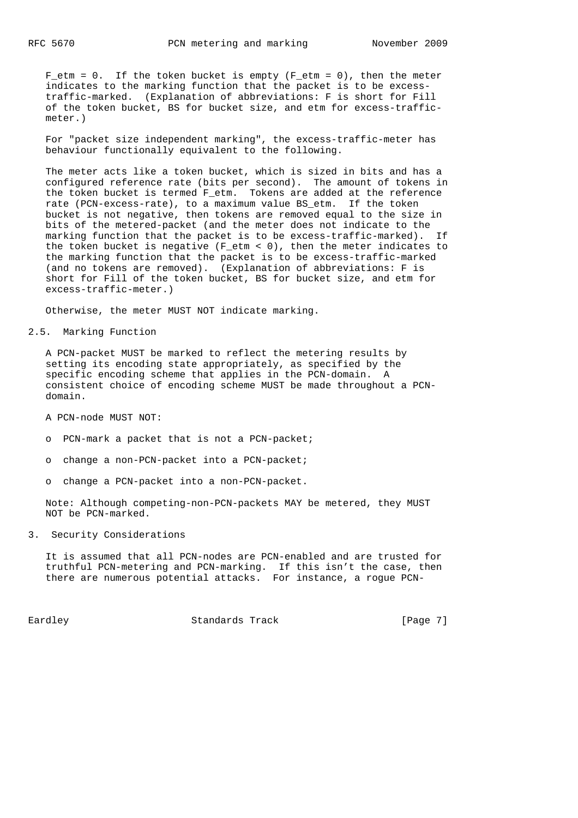$F_{\text{etm}} = 0$ . If the token bucket is empty ( $F_{\text{etm}} = 0$ ), then the meter indicates to the marking function that the packet is to be excess traffic-marked. (Explanation of abbreviations: F is short for Fill of the token bucket, BS for bucket size, and etm for excess-traffic meter.)

 For "packet size independent marking", the excess-traffic-meter has behaviour functionally equivalent to the following.

 The meter acts like a token bucket, which is sized in bits and has a configured reference rate (bits per second). The amount of tokens in the token bucket is termed F etm. Tokens are added at the reference rate (PCN-excess-rate), to a maximum value BS\_etm. If the token bucket is not negative, then tokens are removed equal to the size in bits of the metered-packet (and the meter does not indicate to the marking function that the packet is to be excess-traffic-marked). If the token bucket is negative (F\_etm < 0), then the meter indicates to the marking function that the packet is to be excess-traffic-marked (and no tokens are removed). (Explanation of abbreviations: F is short for Fill of the token bucket, BS for bucket size, and etm for excess-traffic-meter.)

Otherwise, the meter MUST NOT indicate marking.

### 2.5. Marking Function

 A PCN-packet MUST be marked to reflect the metering results by setting its encoding state appropriately, as specified by the specific encoding scheme that applies in the PCN-domain. A consistent choice of encoding scheme MUST be made throughout a PCN domain.

A PCN-node MUST NOT:

- o PCN-mark a packet that is not a PCN-packet;
- o change a non-PCN-packet into a PCN-packet;
- o change a PCN-packet into a non-PCN-packet.

 Note: Although competing-non-PCN-packets MAY be metered, they MUST NOT be PCN-marked.

3. Security Considerations

 It is assumed that all PCN-nodes are PCN-enabled and are trusted for truthful PCN-metering and PCN-marking. If this isn't the case, then there are numerous potential attacks. For instance, a rogue PCN-

Eardley **Standards Track** [Page 7]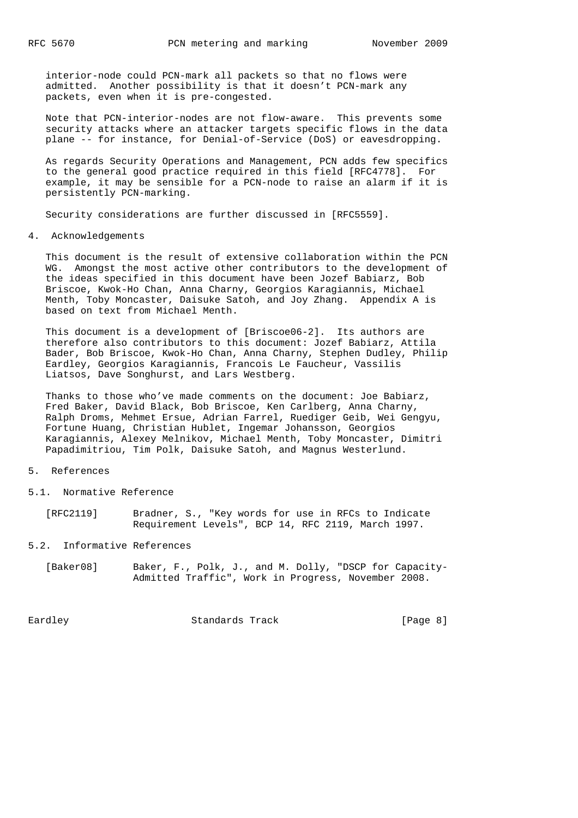interior-node could PCN-mark all packets so that no flows were admitted. Another possibility is that it doesn't PCN-mark any packets, even when it is pre-congested.

 Note that PCN-interior-nodes are not flow-aware. This prevents some security attacks where an attacker targets specific flows in the data plane -- for instance, for Denial-of-Service (DoS) or eavesdropping.

 As regards Security Operations and Management, PCN adds few specifics to the general good practice required in this field [RFC4778]. For example, it may be sensible for a PCN-node to raise an alarm if it is persistently PCN-marking.

Security considerations are further discussed in [RFC5559].

#### 4. Acknowledgements

 This document is the result of extensive collaboration within the PCN WG. Amongst the most active other contributors to the development of the ideas specified in this document have been Jozef Babiarz, Bob Briscoe, Kwok-Ho Chan, Anna Charny, Georgios Karagiannis, Michael Menth, Toby Moncaster, Daisuke Satoh, and Joy Zhang. Appendix A is based on text from Michael Menth.

 This document is a development of [Briscoe06-2]. Its authors are therefore also contributors to this document: Jozef Babiarz, Attila Bader, Bob Briscoe, Kwok-Ho Chan, Anna Charny, Stephen Dudley, Philip Eardley, Georgios Karagiannis, Francois Le Faucheur, Vassilis Liatsos, Dave Songhurst, and Lars Westberg.

 Thanks to those who've made comments on the document: Joe Babiarz, Fred Baker, David Black, Bob Briscoe, Ken Carlberg, Anna Charny, Ralph Droms, Mehmet Ersue, Adrian Farrel, Ruediger Geib, Wei Gengyu, Fortune Huang, Christian Hublet, Ingemar Johansson, Georgios Karagiannis, Alexey Melnikov, Michael Menth, Toby Moncaster, Dimitri Papadimitriou, Tim Polk, Daisuke Satoh, and Magnus Westerlund.

### 5. References

5.1. Normative Reference

 [RFC2119] Bradner, S., "Key words for use in RFCs to Indicate Requirement Levels", BCP 14, RFC 2119, March 1997.

# 5.2. Informative References

 [Baker08] Baker, F., Polk, J., and M. Dolly, "DSCP for Capacity- Admitted Traffic", Work in Progress, November 2008.

Eardley **Standards Track** [Page 8]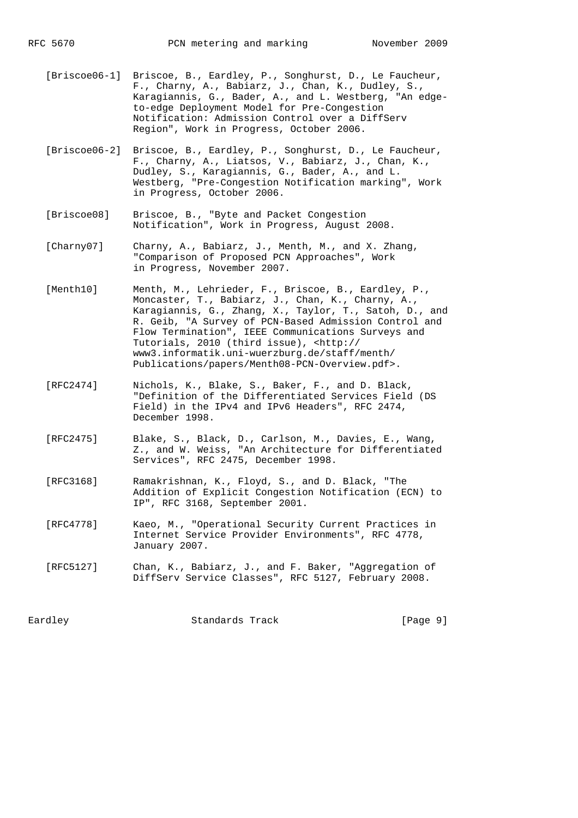- [Briscoe06-1] Briscoe, B., Eardley, P., Songhurst, D., Le Faucheur, F., Charny, A., Babiarz, J., Chan, K., Dudley, S., Karagiannis, G., Bader, A., and L. Westberg, "An edge to-edge Deployment Model for Pre-Congestion Notification: Admission Control over a DiffServ Region", Work in Progress, October 2006.
- [Briscoe06-2] Briscoe, B., Eardley, P., Songhurst, D., Le Faucheur, F., Charny, A., Liatsos, V., Babiarz, J., Chan, K., Dudley, S., Karagiannis, G., Bader, A., and L. Westberg, "Pre-Congestion Notification marking", Work in Progress, October 2006.
- [Briscoe08] Briscoe, B., "Byte and Packet Congestion Notification", Work in Progress, August 2008.
- [Charny07] Charny, A., Babiarz, J., Menth, M., and X. Zhang, "Comparison of Proposed PCN Approaches", Work in Progress, November 2007.
- [Menth10] Menth, M., Lehrieder, F., Briscoe, B., Eardley, P., Moncaster, T., Babiarz, J., Chan, K., Charny, A., Karagiannis, G., Zhang, X., Taylor, T., Satoh, D., and R. Geib, "A Survey of PCN-Based Admission Control and Flow Termination", IEEE Communications Surveys and Tutorials, 2010 (third issue), <http:// www3.informatik.uni-wuerzburg.de/staff/menth/ Publications/papers/Menth08-PCN-Overview.pdf>.
- [RFC2474] Nichols, K., Blake, S., Baker, F., and D. Black, "Definition of the Differentiated Services Field (DS Field) in the IPv4 and IPv6 Headers", RFC 2474, December 1998.
- [RFC2475] Blake, S., Black, D., Carlson, M., Davies, E., Wang, Z., and W. Weiss, "An Architecture for Differentiated Services", RFC 2475, December 1998.
- [RFC3168] Ramakrishnan, K., Floyd, S., and D. Black, "The Addition of Explicit Congestion Notification (ECN) to IP", RFC 3168, September 2001.
- [RFC4778] Kaeo, M., "Operational Security Current Practices in Internet Service Provider Environments", RFC 4778, January 2007.
- [RFC5127] Chan, K., Babiarz, J., and F. Baker, "Aggregation of DiffServ Service Classes", RFC 5127, February 2008.

Eardley **Standards Track** [Page 9]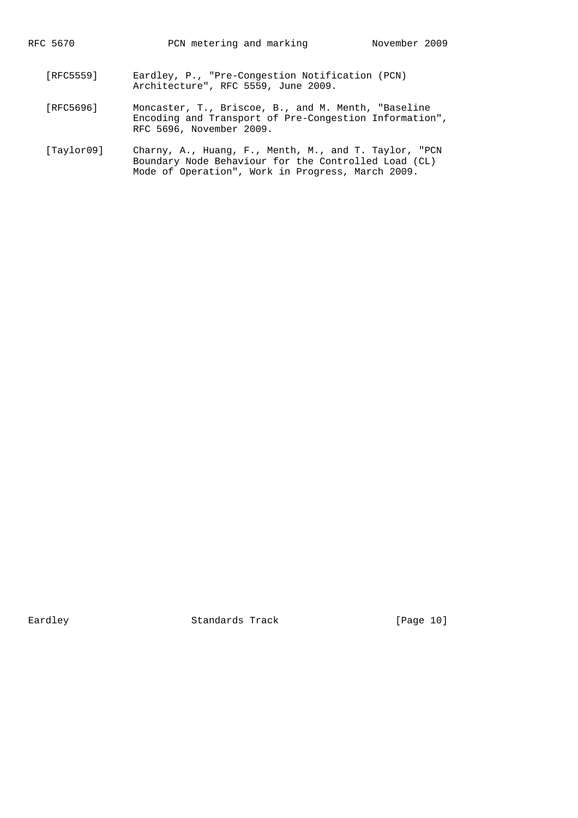- [RFC5559] Eardley, P., "Pre-Congestion Notification (PCN) Architecture", RFC 5559, June 2009.
	- [RFC5696] Moncaster, T., Briscoe, B., and M. Menth, "Baseline Encoding and Transport of Pre-Congestion Information", RFC 5696, November 2009.
	- [Taylor09] Charny, A., Huang, F., Menth, M., and T. Taylor, "PCN Boundary Node Behaviour for the Controlled Load (CL) Mode of Operation", Work in Progress, March 2009.

Eardley Standards Track [Page 10]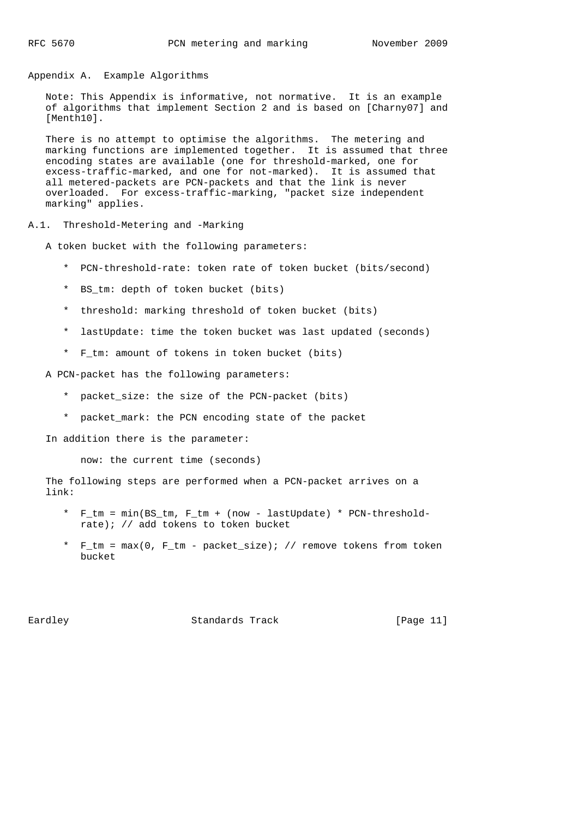Appendix A. Example Algorithms

 Note: This Appendix is informative, not normative. It is an example of algorithms that implement Section 2 and is based on [Charny07] and [Menth10].

 There is no attempt to optimise the algorithms. The metering and marking functions are implemented together. It is assumed that three encoding states are available (one for threshold-marked, one for excess-traffic-marked, and one for not-marked). It is assumed that all metered-packets are PCN-packets and that the link is never overloaded. For excess-traffic-marking, "packet size independent marking" applies.

A.1. Threshold-Metering and -Marking

A token bucket with the following parameters:

- \* PCN-threshold-rate: token rate of token bucket (bits/second)
- \* BS\_tm: depth of token bucket (bits)
- \* threshold: marking threshold of token bucket (bits)
- \* lastUpdate: time the token bucket was last updated (seconds)
- \* F\_tm: amount of tokens in token bucket (bits)

A PCN-packet has the following parameters:

- \* packet\_size: the size of the PCN-packet (bits)
- \* packet\_mark: the PCN encoding state of the packet

In addition there is the parameter:

now: the current time (seconds)

 The following steps are performed when a PCN-packet arrives on a link:

- \* F\_tm = min(BS\_tm, F\_tm + (now lastUpdate) \* PCN-threshold rate); // add tokens to token bucket
- \* F\_tm = max(0, F\_tm packet\_size); // remove tokens from token bucket

Eardley **Standards Track** [Page 11]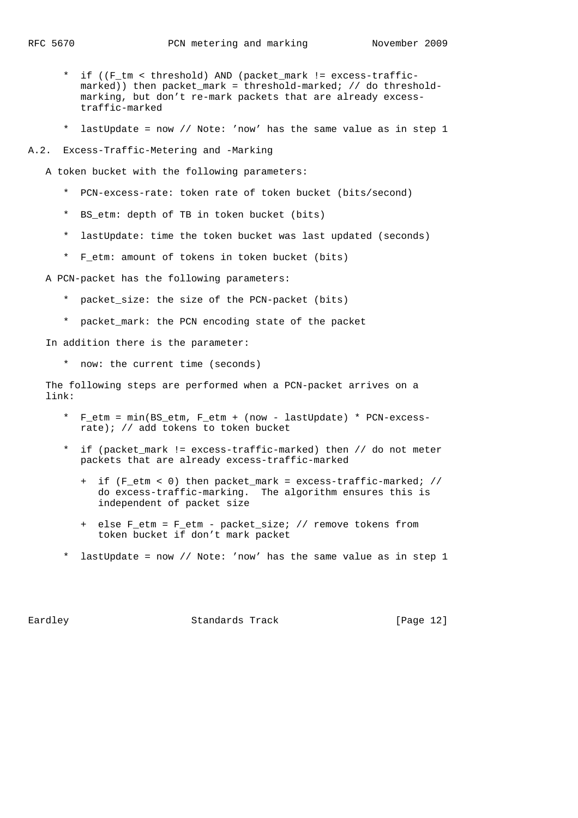- \* if ((F\_tm < threshold) AND (packet\_mark != excess-traffic marked)) then packet\_mark = threshold-marked; // do threshold marking, but don't re-mark packets that are already excess traffic-marked
- \* lastUpdate = now // Note: 'now' has the same value as in step 1
- A.2. Excess-Traffic-Metering and -Marking

A token bucket with the following parameters:

- \* PCN-excess-rate: token rate of token bucket (bits/second)
- \* BS\_etm: depth of TB in token bucket (bits)
- \* lastUpdate: time the token bucket was last updated (seconds)
- \* F\_etm: amount of tokens in token bucket (bits)

A PCN-packet has the following parameters:

- \* packet\_size: the size of the PCN-packet (bits)
- \* packet\_mark: the PCN encoding state of the packet

In addition there is the parameter:

\* now: the current time (seconds)

 The following steps are performed when a PCN-packet arrives on a link:

- \* F\_etm = min(BS\_etm, F\_etm + (now lastUpdate) \* PCN-excess rate); // add tokens to token bucket
- \* if (packet\_mark != excess-traffic-marked) then // do not meter packets that are already excess-traffic-marked
	- + if (F\_etm < 0) then packet\_mark = excess-traffic-marked; // do excess-traffic-marking. The algorithm ensures this is independent of packet size
	- + else F\_etm = F\_etm packet\_size; // remove tokens from token bucket if don't mark packet
- \* lastUpdate = now // Note: 'now' has the same value as in step 1

Eardley **Standards Track** [Page 12]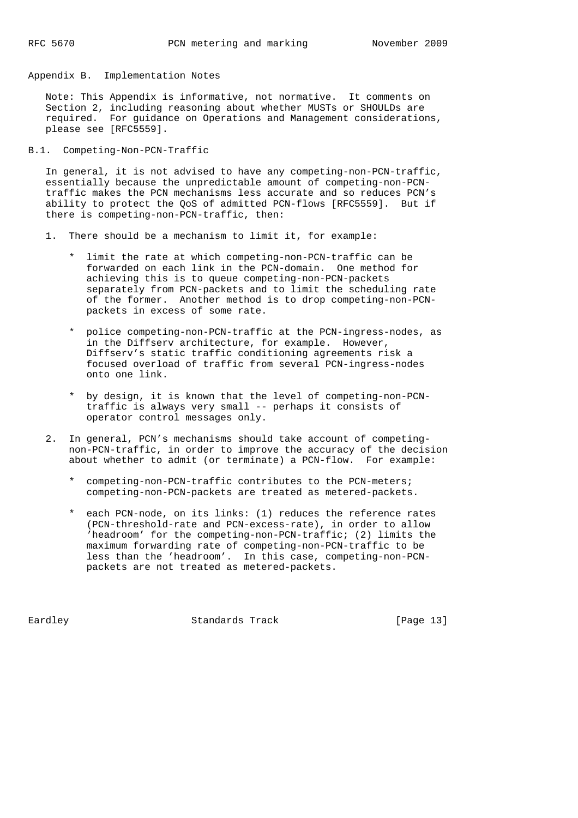Appendix B. Implementation Notes

 Note: This Appendix is informative, not normative. It comments on Section 2, including reasoning about whether MUSTs or SHOULDs are required. For guidance on Operations and Management considerations, please see [RFC5559].

B.1. Competing-Non-PCN-Traffic

 In general, it is not advised to have any competing-non-PCN-traffic, essentially because the unpredictable amount of competing-non-PCN traffic makes the PCN mechanisms less accurate and so reduces PCN's ability to protect the QoS of admitted PCN-flows [RFC5559]. But if there is competing-non-PCN-traffic, then:

- 1. There should be a mechanism to limit it, for example:
	- limit the rate at which competing-non-PCN-traffic can be forwarded on each link in the PCN-domain. One method for achieving this is to queue competing-non-PCN-packets separately from PCN-packets and to limit the scheduling rate of the former. Another method is to drop competing-non-PCN packets in excess of some rate.
	- \* police competing-non-PCN-traffic at the PCN-ingress-nodes, as in the Diffserv architecture, for example. However, Diffserv's static traffic conditioning agreements risk a focused overload of traffic from several PCN-ingress-nodes onto one link.
	- \* by design, it is known that the level of competing-non-PCN traffic is always very small -- perhaps it consists of operator control messages only.
- 2. In general, PCN's mechanisms should take account of competing non-PCN-traffic, in order to improve the accuracy of the decision about whether to admit (or terminate) a PCN-flow. For example:
	- \* competing-non-PCN-traffic contributes to the PCN-meters; competing-non-PCN-packets are treated as metered-packets.
	- \* each PCN-node, on its links: (1) reduces the reference rates (PCN-threshold-rate and PCN-excess-rate), in order to allow 'headroom' for the competing-non-PCN-traffic; (2) limits the maximum forwarding rate of competing-non-PCN-traffic to be less than the 'headroom'. In this case, competing-non-PCN packets are not treated as metered-packets.

Eardley **Standards Track** [Page 13]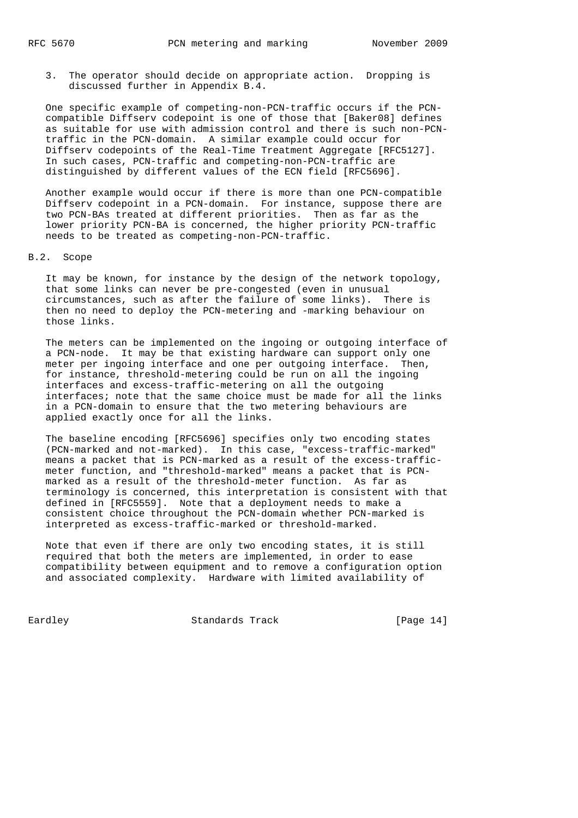3. The operator should decide on appropriate action. Dropping is discussed further in Appendix B.4.

 One specific example of competing-non-PCN-traffic occurs if the PCN compatible Diffserv codepoint is one of those that [Baker08] defines as suitable for use with admission control and there is such non-PCN traffic in the PCN-domain. A similar example could occur for Diffserv codepoints of the Real-Time Treatment Aggregate [RFC5127]. In such cases, PCN-traffic and competing-non-PCN-traffic are distinguished by different values of the ECN field [RFC5696].

 Another example would occur if there is more than one PCN-compatible Diffserv codepoint in a PCN-domain. For instance, suppose there are two PCN-BAs treated at different priorities. Then as far as the lower priority PCN-BA is concerned, the higher priority PCN-traffic needs to be treated as competing-non-PCN-traffic.

## B.2. Scope

 It may be known, for instance by the design of the network topology, that some links can never be pre-congested (even in unusual circumstances, such as after the failure of some links). There is then no need to deploy the PCN-metering and -marking behaviour on those links.

 The meters can be implemented on the ingoing or outgoing interface of a PCN-node. It may be that existing hardware can support only one meter per ingoing interface and one per outgoing interface. Then, for instance, threshold-metering could be run on all the ingoing interfaces and excess-traffic-metering on all the outgoing interfaces; note that the same choice must be made for all the links in a PCN-domain to ensure that the two metering behaviours are applied exactly once for all the links.

 The baseline encoding [RFC5696] specifies only two encoding states (PCN-marked and not-marked). In this case, "excess-traffic-marked" means a packet that is PCN-marked as a result of the excess-traffic meter function, and "threshold-marked" means a packet that is PCN marked as a result of the threshold-meter function. As far as terminology is concerned, this interpretation is consistent with that defined in [RFC5559]. Note that a deployment needs to make a consistent choice throughout the PCN-domain whether PCN-marked is interpreted as excess-traffic-marked or threshold-marked.

 Note that even if there are only two encoding states, it is still required that both the meters are implemented, in order to ease compatibility between equipment and to remove a configuration option and associated complexity. Hardware with limited availability of

Eardley **Standards Track** [Page 14]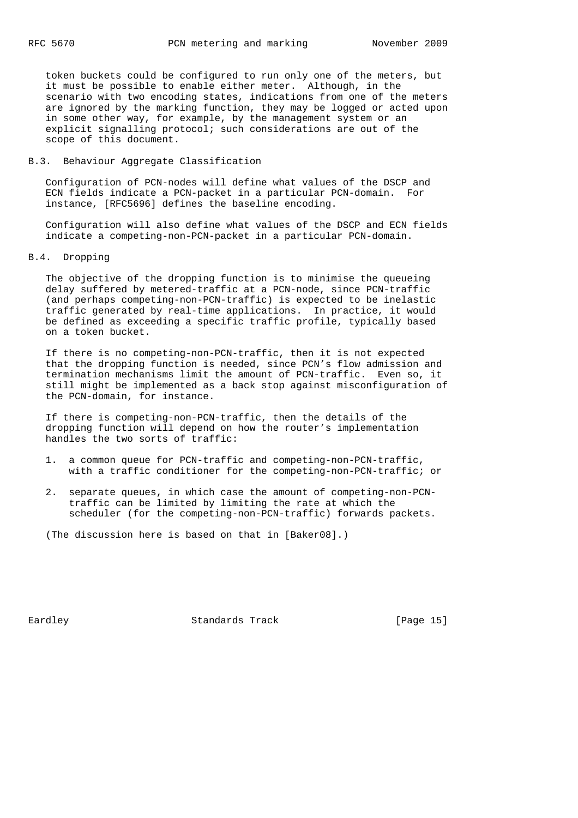token buckets could be configured to run only one of the meters, but it must be possible to enable either meter. Although, in the scenario with two encoding states, indications from one of the meters are ignored by the marking function, they may be logged or acted upon in some other way, for example, by the management system or an explicit signalling protocol; such considerations are out of the scope of this document.

# B.3. Behaviour Aggregate Classification

 Configuration of PCN-nodes will define what values of the DSCP and ECN fields indicate a PCN-packet in a particular PCN-domain. For instance, [RFC5696] defines the baseline encoding.

 Configuration will also define what values of the DSCP and ECN fields indicate a competing-non-PCN-packet in a particular PCN-domain.

# B.4. Dropping

 The objective of the dropping function is to minimise the queueing delay suffered by metered-traffic at a PCN-node, since PCN-traffic (and perhaps competing-non-PCN-traffic) is expected to be inelastic traffic generated by real-time applications. In practice, it would be defined as exceeding a specific traffic profile, typically based on a token bucket.

 If there is no competing-non-PCN-traffic, then it is not expected that the dropping function is needed, since PCN's flow admission and termination mechanisms limit the amount of PCN-traffic. Even so, it still might be implemented as a back stop against misconfiguration of the PCN-domain, for instance.

 If there is competing-non-PCN-traffic, then the details of the dropping function will depend on how the router's implementation handles the two sorts of traffic:

- 1. a common queue for PCN-traffic and competing-non-PCN-traffic, with a traffic conditioner for the competing-non-PCN-traffic; or
- 2. separate queues, in which case the amount of competing-non-PCN traffic can be limited by limiting the rate at which the scheduler (for the competing-non-PCN-traffic) forwards packets.

(The discussion here is based on that in [Baker08].)

Eardley **Standards Track** [Page 15]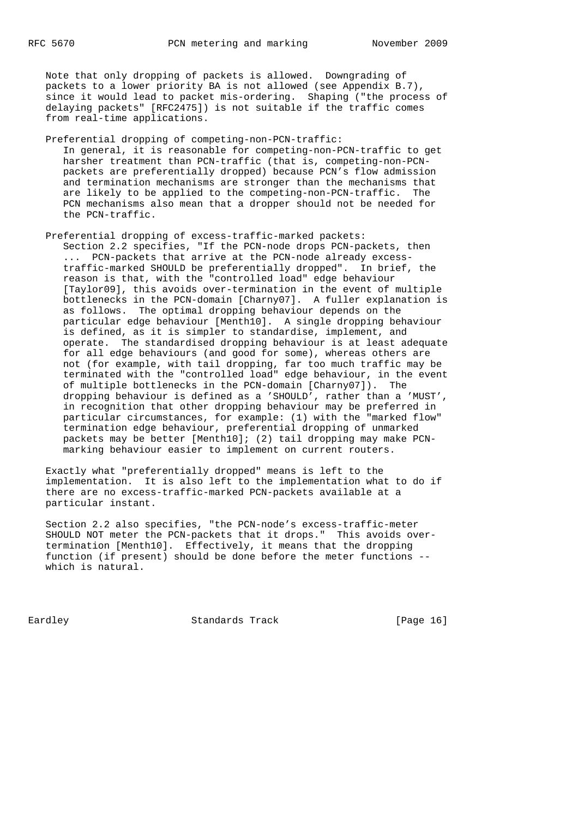Note that only dropping of packets is allowed. Downgrading of packets to a lower priority BA is not allowed (see Appendix B.7), since it would lead to packet mis-ordering. Shaping ("the process of delaying packets" [RFC2475]) is not suitable if the traffic comes from real-time applications.

 Preferential dropping of competing-non-PCN-traffic: In general, it is reasonable for competing-non-PCN-traffic to get harsher treatment than PCN-traffic (that is, competing-non-PCN packets are preferentially dropped) because PCN's flow admission and termination mechanisms are stronger than the mechanisms that are likely to be applied to the competing-non-PCN-traffic. The PCN mechanisms also mean that a dropper should not be needed for the PCN-traffic.

 Preferential dropping of excess-traffic-marked packets: Section 2.2 specifies, "If the PCN-node drops PCN-packets, then ... PCN-packets that arrive at the PCN-node already excess traffic-marked SHOULD be preferentially dropped". In brief, the reason is that, with the "controlled load" edge behaviour [Taylor09], this avoids over-termination in the event of multiple bottlenecks in the PCN-domain [Charny07]. A fuller explanation is as follows. The optimal dropping behaviour depends on the particular edge behaviour [Menth10]. A single dropping behaviour is defined, as it is simpler to standardise, implement, and operate. The standardised dropping behaviour is at least adequate for all edge behaviours (and good for some), whereas others are not (for example, with tail dropping, far too much traffic may be terminated with the "controlled load" edge behaviour, in the event of multiple bottlenecks in the PCN-domain [Charny07]). The dropping behaviour is defined as a 'SHOULD', rather than a 'MUST', in recognition that other dropping behaviour may be preferred in particular circumstances, for example: (1) with the "marked flow" termination edge behaviour, preferential dropping of unmarked packets may be better [Menth10]; (2) tail dropping may make PCN marking behaviour easier to implement on current routers.

 Exactly what "preferentially dropped" means is left to the implementation. It is also left to the implementation what to do if there are no excess-traffic-marked PCN-packets available at a particular instant.

 Section 2.2 also specifies, "the PCN-node's excess-traffic-meter SHOULD NOT meter the PCN-packets that it drops." This avoids over termination [Menth10]. Effectively, it means that the dropping function (if present) should be done before the meter functions - which is natural.

Eardley Standards Track [Page 16]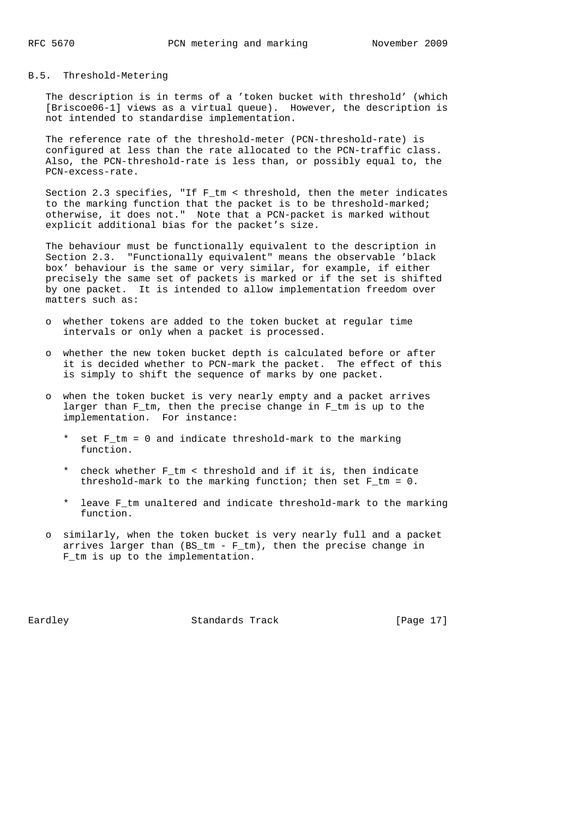# B.5. Threshold-Metering

 The description is in terms of a 'token bucket with threshold' (which [Briscoe06-1] views as a virtual queue). However, the description is not intended to standardise implementation.

 The reference rate of the threshold-meter (PCN-threshold-rate) is configured at less than the rate allocated to the PCN-traffic class. Also, the PCN-threshold-rate is less than, or possibly equal to, the PCN-excess-rate.

Section 2.3 specifies, "If F  $tm < th$  threshold, then the meter indicates to the marking function that the packet is to be threshold-marked; otherwise, it does not." Note that a PCN-packet is marked without explicit additional bias for the packet's size.

 The behaviour must be functionally equivalent to the description in Section 2.3. "Functionally equivalent" means the observable 'black box' behaviour is the same or very similar, for example, if either precisely the same set of packets is marked or if the set is shifted by one packet. It is intended to allow implementation freedom over matters such as:

- o whether tokens are added to the token bucket at regular time intervals or only when a packet is processed.
- o whether the new token bucket depth is calculated before or after it is decided whether to PCN-mark the packet. The effect of this is simply to shift the sequence of marks by one packet.
- o when the token bucket is very nearly empty and a packet arrives larger than F\_tm, then the precise change in F\_tm is up to the implementation. For instance:
	- \* set F\_tm = 0 and indicate threshold-mark to the marking function.
	- \* check whether F\_tm < threshold and if it is, then indicate threshold-mark to the marking function; then set F\_tm = 0.
	- \* leave F\_tm unaltered and indicate threshold-mark to the marking function.
- o similarly, when the token bucket is very nearly full and a packet arrives larger than (BS\_tm - F\_tm), then the precise change in F\_tm is up to the implementation.

Eardley **Standards Track** [Page 17]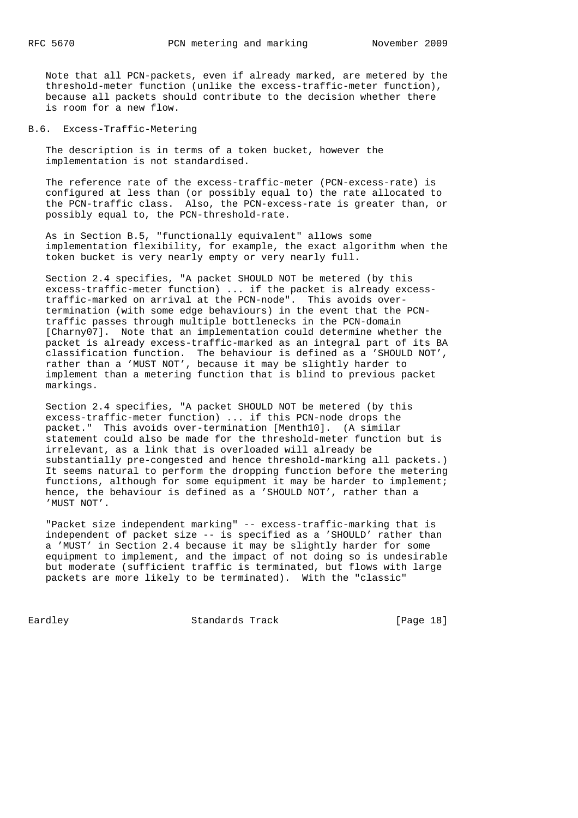Note that all PCN-packets, even if already marked, are metered by the threshold-meter function (unlike the excess-traffic-meter function), because all packets should contribute to the decision whether there is room for a new flow.

B.6. Excess-Traffic-Metering

 The description is in terms of a token bucket, however the implementation is not standardised.

 The reference rate of the excess-traffic-meter (PCN-excess-rate) is configured at less than (or possibly equal to) the rate allocated to the PCN-traffic class. Also, the PCN-excess-rate is greater than, or possibly equal to, the PCN-threshold-rate.

 As in Section B.5, "functionally equivalent" allows some implementation flexibility, for example, the exact algorithm when the token bucket is very nearly empty or very nearly full.

 Section 2.4 specifies, "A packet SHOULD NOT be metered (by this excess-traffic-meter function) ... if the packet is already excess traffic-marked on arrival at the PCN-node". This avoids over termination (with some edge behaviours) in the event that the PCN traffic passes through multiple bottlenecks in the PCN-domain [Charny07]. Note that an implementation could determine whether the packet is already excess-traffic-marked as an integral part of its BA classification function. The behaviour is defined as a 'SHOULD NOT', rather than a 'MUST NOT', because it may be slightly harder to implement than a metering function that is blind to previous packet markings.

 Section 2.4 specifies, "A packet SHOULD NOT be metered (by this excess-traffic-meter function) ... if this PCN-node drops the packet." This avoids over-termination [Menth10]. (A similar statement could also be made for the threshold-meter function but is irrelevant, as a link that is overloaded will already be substantially pre-congested and hence threshold-marking all packets.) It seems natural to perform the dropping function before the metering functions, although for some equipment it may be harder to implement; hence, the behaviour is defined as a 'SHOULD NOT', rather than a 'MUST NOT'.

 "Packet size independent marking" -- excess-traffic-marking that is independent of packet size -- is specified as a 'SHOULD' rather than a 'MUST' in Section 2.4 because it may be slightly harder for some equipment to implement, and the impact of not doing so is undesirable but moderate (sufficient traffic is terminated, but flows with large packets are more likely to be terminated). With the "classic"

Eardley **Standards Track** [Page 18]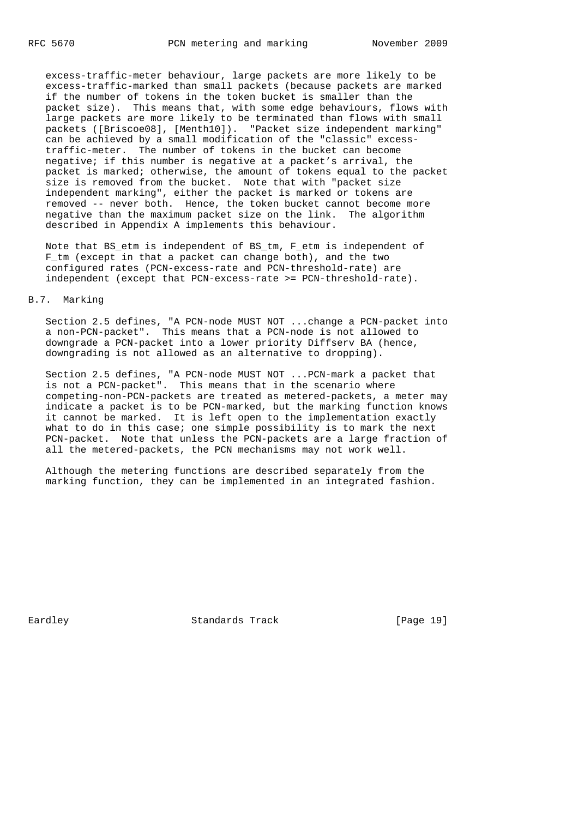excess-traffic-meter behaviour, large packets are more likely to be excess-traffic-marked than small packets (because packets are marked if the number of tokens in the token bucket is smaller than the packet size). This means that, with some edge behaviours, flows with large packets are more likely to be terminated than flows with small packets ([Briscoe08], [Menth10]). "Packet size independent marking" can be achieved by a small modification of the "classic" excess traffic-meter. The number of tokens in the bucket can become negative; if this number is negative at a packet's arrival, the packet is marked; otherwise, the amount of tokens equal to the packet size is removed from the bucket. Note that with "packet size independent marking", either the packet is marked or tokens are removed -- never both. Hence, the token bucket cannot become more negative than the maximum packet size on the link. The algorithm described in Appendix A implements this behaviour.

 Note that BS\_etm is independent of BS\_tm, F\_etm is independent of F\_tm (except in that a packet can change both), and the two configured rates (PCN-excess-rate and PCN-threshold-rate) are independent (except that PCN-excess-rate >= PCN-threshold-rate).

### B.7. Marking

 Section 2.5 defines, "A PCN-node MUST NOT ...change a PCN-packet into a non-PCN-packet". This means that a PCN-node is not allowed to downgrade a PCN-packet into a lower priority Diffserv BA (hence, downgrading is not allowed as an alternative to dropping).

 Section 2.5 defines, "A PCN-node MUST NOT ...PCN-mark a packet that is not a PCN-packet". This means that in the scenario where competing-non-PCN-packets are treated as metered-packets, a meter may indicate a packet is to be PCN-marked, but the marking function knows it cannot be marked. It is left open to the implementation exactly what to do in this case; one simple possibility is to mark the next PCN-packet. Note that unless the PCN-packets are a large fraction of all the metered-packets, the PCN mechanisms may not work well.

 Although the metering functions are described separately from the marking function, they can be implemented in an integrated fashion.

Eardley **Standards Track** [Page 19]